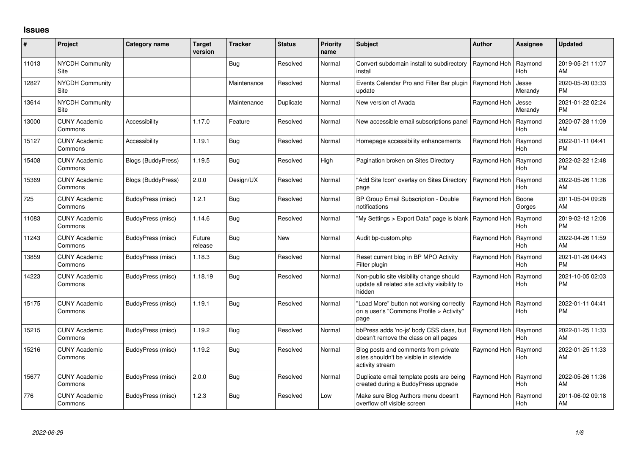## **Issues**

| ∦     | Project                         | <b>Category name</b> | <b>Target</b><br>version | <b>Tracker</b> | <b>Status</b> | Priority<br>name | <b>Subject</b>                                                                                       | <b>Author</b> | Assignee              | <b>Updated</b>                |
|-------|---------------------------------|----------------------|--------------------------|----------------|---------------|------------------|------------------------------------------------------------------------------------------------------|---------------|-----------------------|-------------------------------|
| 11013 | <b>NYCDH Community</b><br>Site  |                      |                          | Bug            | Resolved      | Normal           | Convert subdomain install to subdirectory<br>install                                                 | Raymond Hoh   | Raymond<br>Hoh        | 2019-05-21 11:07<br>AM        |
| 12827 | <b>NYCDH Community</b><br>Site  |                      |                          | Maintenance    | Resolved      | Normal           | Events Calendar Pro and Filter Bar plugin<br>update                                                  | Raymond Hoh   | Jesse<br>Merandy      | 2020-05-20 03:33<br><b>PM</b> |
| 13614 | <b>NYCDH Community</b><br>Site  |                      |                          | Maintenance    | Duplicate     | Normal           | New version of Avada                                                                                 | Raymond Hoh   | Jesse<br>Merandy      | 2021-01-22 02:24<br><b>PM</b> |
| 13000 | <b>CUNY Academic</b><br>Commons | Accessibility        | 1.17.0                   | Feature        | Resolved      | Normal           | New accessible email subscriptions panel                                                             | Raymond Hoh   | Raymond<br><b>Hoh</b> | 2020-07-28 11:09<br>AM        |
| 15127 | <b>CUNY Academic</b><br>Commons | Accessibility        | 1.19.1                   | Bug            | Resolved      | Normal           | Homepage accessibility enhancements                                                                  | Raymond Hoh   | Raymond<br><b>Hoh</b> | 2022-01-11 04:41<br><b>PM</b> |
| 15408 | <b>CUNY Academic</b><br>Commons | Blogs (BuddyPress)   | 1.19.5                   | <b>Bug</b>     | Resolved      | High             | Pagination broken on Sites Directory                                                                 | Raymond Hoh   | Raymond<br>Hoh        | 2022-02-22 12:48<br><b>PM</b> |
| 15369 | <b>CUNY Academic</b><br>Commons | Blogs (BuddyPress)   | 2.0.0                    | Design/UX      | Resolved      | Normal           | "Add Site Icon" overlay on Sites Directory<br>page                                                   | Raymond Hoh   | Raymond<br>Hoh        | 2022-05-26 11:36<br>AM        |
| 725   | <b>CUNY Academic</b><br>Commons | BuddyPress (misc)    | 1.2.1                    | <b>Bug</b>     | Resolved      | Normal           | BP Group Email Subscription - Double<br>notifications                                                | Raymond Hoh   | Boone<br>Gorges       | 2011-05-04 09:28<br>AM        |
| 11083 | <b>CUNY Academic</b><br>Commons | BuddyPress (misc)    | 1.14.6                   | <b>Bug</b>     | Resolved      | Normal           | "My Settings > Export Data" page is blank                                                            | Raymond Hoh   | Raymond<br>Hoh        | 2019-02-12 12:08<br><b>PM</b> |
| 11243 | <b>CUNY Academic</b><br>Commons | BuddyPress (misc)    | Future<br>release        | <b>Bug</b>     | New           | Normal           | Audit bp-custom.php                                                                                  | Raymond Hoh   | Raymond<br>Hoh        | 2022-04-26 11:59<br>AM        |
| 13859 | <b>CUNY Academic</b><br>Commons | BuddyPress (misc)    | 1.18.3                   | Bug            | Resolved      | Normal           | Reset current blog in BP MPO Activity<br>Filter plugin                                               | Raymond Hoh   | Raymond<br><b>Hoh</b> | 2021-01-26 04:43<br><b>PM</b> |
| 14223 | <b>CUNY Academic</b><br>Commons | BuddyPress (misc)    | 1.18.19                  | Bug            | Resolved      | Normal           | Non-public site visibility change should<br>update all related site activity visibility to<br>hidden | Raymond Hoh   | Raymond<br><b>Hoh</b> | 2021-10-05 02:03<br><b>PM</b> |
| 15175 | <b>CUNY Academic</b><br>Commons | BuddyPress (misc)    | 1.19.1                   | Bug            | Resolved      | Normal           | "Load More" button not working correctly<br>on a user's "Commons Profile > Activity"<br>page         | Raymond Hoh   | Raymond<br>Hoh        | 2022-01-11 04:41<br>PM        |
| 15215 | <b>CUNY Academic</b><br>Commons | BuddyPress (misc)    | 1.19.2                   | <b>Bug</b>     | Resolved      | Normal           | bbPress adds 'no-js' body CSS class, but<br>doesn't remove the class on all pages                    | Raymond Hoh   | Raymond<br><b>Hoh</b> | 2022-01-25 11:33<br>AM        |
| 15216 | <b>CUNY Academic</b><br>Commons | BuddyPress (misc)    | 1.19.2                   | <b>Bug</b>     | Resolved      | Normal           | Blog posts and comments from private<br>sites shouldn't be visible in sitewide<br>activity stream    | Raymond Hoh   | Raymond<br><b>Hoh</b> | 2022-01-25 11:33<br>AM        |
| 15677 | <b>CUNY Academic</b><br>Commons | BuddyPress (misc)    | 2.0.0                    | Bug            | Resolved      | Normal           | Duplicate email template posts are being<br>created during a BuddyPress upgrade                      | Raymond Hoh   | Raymond<br>Hoh        | 2022-05-26 11:36<br>AM        |
| 776   | <b>CUNY Academic</b><br>Commons | BuddyPress (misc)    | 1.2.3                    | Bug            | Resolved      | Low              | Make sure Blog Authors menu doesn't<br>overflow off visible screen                                   | Raymond Hoh   | Raymond<br>Hoh        | 2011-06-02 09:18<br>AM        |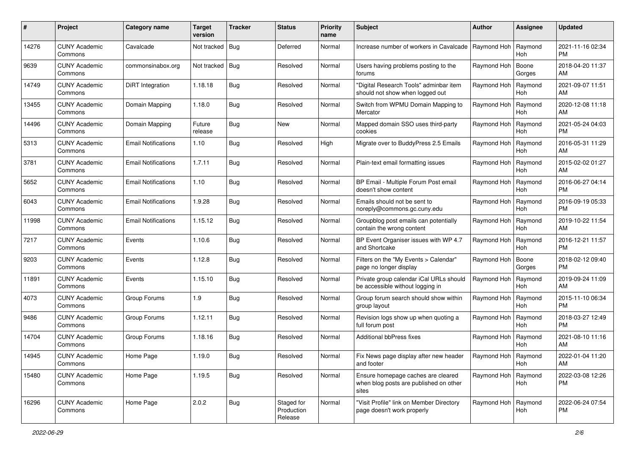| #     | Project                         | <b>Category name</b>       | <b>Target</b><br>version | <b>Tracker</b> | <b>Status</b>                       | <b>Priority</b><br>name | <b>Subject</b>                                                                        | <b>Author</b>         | <b>Assignee</b>       | <b>Updated</b>                |
|-------|---------------------------------|----------------------------|--------------------------|----------------|-------------------------------------|-------------------------|---------------------------------------------------------------------------------------|-----------------------|-----------------------|-------------------------------|
| 14276 | <b>CUNY Academic</b><br>Commons | Cavalcade                  | Not tracked              | Bug            | Deferred                            | Normal                  | Increase number of workers in Cavalcade                                               | Raymond Hoh           | Raymond<br>Hoh        | 2021-11-16 02:34<br><b>PM</b> |
| 9639  | <b>CUNY Academic</b><br>Commons | commonsinabox.org          | Not tracked   Bug        |                | Resolved                            | Normal                  | Users having problems posting to the<br>forums                                        | Raymond Hoh           | Boone<br>Gorges       | 2018-04-20 11:37<br>AM        |
| 14749 | <b>CUNY Academic</b><br>Commons | DiRT Integration           | 1.18.18                  | Bug            | Resolved                            | Normal                  | "Digital Research Tools" adminbar item<br>should not show when logged out             | Raymond Hoh           | Raymond<br><b>Hoh</b> | 2021-09-07 11:51<br>AM        |
| 13455 | <b>CUNY Academic</b><br>Commons | Domain Mapping             | 1.18.0                   | <b>Bug</b>     | Resolved                            | Normal                  | Switch from WPMU Domain Mapping to<br>Mercator                                        | Raymond Hoh           | Raymond<br><b>Hoh</b> | 2020-12-08 11:18<br>AM        |
| 14496 | <b>CUNY Academic</b><br>Commons | Domain Mapping             | Future<br>release        | <b>Bug</b>     | <b>New</b>                          | Normal                  | Mapped domain SSO uses third-party<br>cookies                                         | Raymond Hoh           | Raymond<br><b>Hoh</b> | 2021-05-24 04:03<br><b>PM</b> |
| 5313  | <b>CUNY Academic</b><br>Commons | <b>Email Notifications</b> | 1.10                     | Bug            | Resolved                            | High                    | Migrate over to BuddyPress 2.5 Emails                                                 | Raymond Hoh           | Raymond<br><b>Hoh</b> | 2016-05-31 11:29<br>AM        |
| 3781  | <b>CUNY Academic</b><br>Commons | <b>Email Notifications</b> | 1.7.11                   | Bug            | Resolved                            | Normal                  | Plain-text email formatting issues                                                    | Raymond Hoh           | Raymond<br>Hoh        | 2015-02-02 01:27<br>AM        |
| 5652  | <b>CUNY Academic</b><br>Commons | <b>Email Notifications</b> | 1.10                     | <b>Bug</b>     | Resolved                            | Normal                  | BP Email - Multiple Forum Post email<br>doesn't show content                          | Raymond Hoh           | Raymond<br>Hoh        | 2016-06-27 04:14<br><b>PM</b> |
| 6043  | <b>CUNY Academic</b><br>Commons | <b>Email Notifications</b> | 1.9.28                   | Bug            | Resolved                            | Normal                  | Emails should not be sent to<br>noreply@commons.gc.cuny.edu                           | Raymond Hoh           | Raymond<br><b>Hoh</b> | 2016-09-19 05:33<br><b>PM</b> |
| 11998 | <b>CUNY Academic</b><br>Commons | <b>Email Notifications</b> | 1.15.12                  | Bug            | Resolved                            | Normal                  | Groupblog post emails can potentially<br>contain the wrong content                    | Raymond Hoh           | Raymond<br>Hoh        | 2019-10-22 11:54<br>AM        |
| 7217  | <b>CUNY Academic</b><br>Commons | Events                     | 1.10.6                   | Bug            | Resolved                            | Normal                  | BP Event Organiser issues with WP 4.7<br>and Shortcake                                | Raymond Hoh           | Raymond<br><b>Hoh</b> | 2016-12-21 11:57<br><b>PM</b> |
| 9203  | <b>CUNY Academic</b><br>Commons | Events                     | 1.12.8                   | <b>Bug</b>     | Resolved                            | Normal                  | Filters on the "My Events > Calendar"<br>page no longer display                       | Raymond Hoh           | Boone<br>Gorges       | 2018-02-12 09:40<br>PM.       |
| 11891 | <b>CUNY Academic</b><br>Commons | Events                     | 1.15.10                  | Bug            | Resolved                            | Normal                  | Private group calendar iCal URLs should<br>be accessible without logging in           | Raymond Hoh           | Raymond<br><b>Hoh</b> | 2019-09-24 11:09<br>AM        |
| 4073  | <b>CUNY Academic</b><br>Commons | Group Forums               | 1.9                      | <b>Bug</b>     | Resolved                            | Normal                  | Group forum search should show within<br>group layout                                 | Raymond Hoh           | Raymond<br><b>Hoh</b> | 2015-11-10 06:34<br>PM        |
| 9486  | <b>CUNY Academic</b><br>Commons | Group Forums               | 1.12.11                  | <b>Bug</b>     | Resolved                            | Normal                  | Revision logs show up when quoting a<br>full forum post                               | Raymond Hoh           | Raymond<br>Hoh        | 2018-03-27 12:49<br><b>PM</b> |
| 14704 | <b>CUNY Academic</b><br>Commons | Group Forums               | 1.18.16                  | Bug            | Resolved                            | Normal                  | Additional bbPress fixes                                                              | Raymond Hoh           | Raymond<br><b>Hoh</b> | 2021-08-10 11:16<br>AM        |
| 14945 | <b>CUNY Academic</b><br>Commons | Home Page                  | 1.19.0                   | Bug            | Resolved                            | Normal                  | Fix News page display after new header<br>and footer                                  | Raymond Hoh   Raymond | Hoh                   | 2022-01-04 11:20<br>AM        |
| 15480 | <b>CUNY Academic</b><br>Commons | Home Page                  | 1.19.5                   | <b>Bug</b>     | Resolved                            | Normal                  | Ensure homepage caches are cleared<br>when blog posts are published on other<br>sites | Raymond Hoh           | Raymond<br>Hoh        | 2022-03-08 12:26<br><b>PM</b> |
| 16296 | <b>CUNY Academic</b><br>Commons | Home Page                  | 2.0.2                    | <b>Bug</b>     | Staged for<br>Production<br>Release | Normal                  | "Visit Profile" link on Member Directory<br>page doesn't work properly                | Raymond Hoh           | Raymond<br>Hoh        | 2022-06-24 07:54<br>PM        |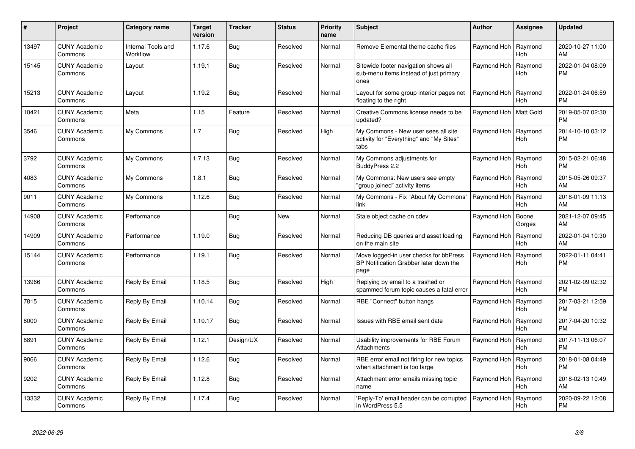| $\#$  | Project                         | <b>Category name</b>           | <b>Target</b><br>version | <b>Tracker</b> | <b>Status</b> | <b>Priority</b><br>name | <b>Subject</b>                                                                           | <b>Author</b> | Assignee              | <b>Updated</b>                |
|-------|---------------------------------|--------------------------------|--------------------------|----------------|---------------|-------------------------|------------------------------------------------------------------------------------------|---------------|-----------------------|-------------------------------|
| 13497 | <b>CUNY Academic</b><br>Commons | Internal Tools and<br>Workflow | 1.17.6                   | <b>Bug</b>     | Resolved      | Normal                  | Remove Elemental theme cache files                                                       | Raymond Hoh   | Raymond<br>Hoh        | 2020-10-27 11:00<br>AM        |
| 15145 | <b>CUNY Academic</b><br>Commons | Layout                         | 1.19.1                   | <b>Bug</b>     | Resolved      | Normal                  | Sitewide footer navigation shows all<br>sub-menu items instead of just primary<br>ones   | Raymond Hoh   | Raymond<br>Hoh        | 2022-01-04 08:09<br><b>PM</b> |
| 15213 | <b>CUNY Academic</b><br>Commons | Layout                         | 1.19.2                   | <b>Bug</b>     | Resolved      | Normal                  | Layout for some group interior pages not<br>floating to the right                        | Raymond Hoh   | Raymond<br><b>Hoh</b> | 2022-01-24 06:59<br><b>PM</b> |
| 10421 | <b>CUNY Academic</b><br>Commons | Meta                           | 1.15                     | Feature        | Resolved      | Normal                  | Creative Commons license needs to be<br>updated?                                         | Raymond Hoh   | Matt Gold             | 2019-05-07 02:30<br><b>PM</b> |
| 3546  | <b>CUNY Academic</b><br>Commons | My Commons                     | 1.7                      | <b>Bug</b>     | Resolved      | High                    | My Commons - New user sees all site<br>activity for "Everything" and "My Sites"<br>tabs  | Raymond Hoh   | Raymond<br>Hoh        | 2014-10-10 03:12<br><b>PM</b> |
| 3792  | <b>CUNY Academic</b><br>Commons | My Commons                     | 1.7.13                   | <b>Bug</b>     | Resolved      | Normal                  | My Commons adjustments for<br>BuddyPress 2.2                                             | Raymond Hoh   | Raymond<br><b>Hoh</b> | 2015-02-21 06:48<br><b>PM</b> |
| 4083  | <b>CUNY Academic</b><br>Commons | My Commons                     | 1.8.1                    | <b>Bug</b>     | Resolved      | Normal                  | My Commons: New users see empty<br>'group joined" activity items                         | Raymond Hoh   | Raymond<br><b>Hoh</b> | 2015-05-26 09:37<br>AM        |
| 9011  | <b>CUNY Academic</b><br>Commons | My Commons                     | 1.12.6                   | <b>Bug</b>     | Resolved      | Normal                  | My Commons - Fix "About My Commons"<br>link                                              | Raymond Hoh   | Raymond<br><b>Hoh</b> | 2018-01-09 11:13<br>AM        |
| 14908 | <b>CUNY Academic</b><br>Commons | Performance                    |                          | <b>Bug</b>     | <b>New</b>    | Normal                  | Stale object cache on cdev                                                               | Raymond Hoh   | Boone<br>Gorges       | 2021-12-07 09:45<br>AM        |
| 14909 | <b>CUNY Academic</b><br>Commons | Performance                    | 1.19.0                   | Bug            | Resolved      | Normal                  | Reducing DB queries and asset loading<br>on the main site                                | Raymond Hoh   | Raymond<br>Hoh        | 2022-01-04 10:30<br>AM        |
| 15144 | <b>CUNY Academic</b><br>Commons | Performance                    | 1.19.1                   | Bug            | Resolved      | Normal                  | Move logged-in user checks for bbPress<br>BP Notification Grabber later down the<br>page | Raymond Hoh   | Raymond<br>Hoh        | 2022-01-11 04:41<br><b>PM</b> |
| 13966 | <b>CUNY Academic</b><br>Commons | Reply By Email                 | 1.18.5                   | Bug            | Resolved      | High                    | Replying by email to a trashed or<br>spammed forum topic causes a fatal error            | Raymond Hoh   | Raymond<br><b>Hoh</b> | 2021-02-09 02:32<br><b>PM</b> |
| 7815  | <b>CUNY Academic</b><br>Commons | Reply By Email                 | 1.10.14                  | Bug            | Resolved      | Normal                  | RBE "Connect" button hangs                                                               | Raymond Hoh   | Raymond<br><b>Hoh</b> | 2017-03-21 12:59<br><b>PM</b> |
| 8000  | <b>CUNY Academic</b><br>Commons | Reply By Email                 | 1.10.17                  | <b>Bug</b>     | Resolved      | Normal                  | Issues with RBE email sent date                                                          | Raymond Hoh   | Raymond<br><b>Hoh</b> | 2017-04-20 10:32<br><b>PM</b> |
| 8891  | <b>CUNY Academic</b><br>Commons | Reply By Email                 | 1.12.1                   | Design/UX      | Resolved      | Normal                  | Usability improvements for RBE Forum<br><b>Attachments</b>                               | Raymond Hoh   | Raymond<br>Hoh        | 2017-11-13 06:07<br><b>PM</b> |
| 9066  | <b>CUNY Academic</b><br>Commons | Reply By Email                 | 1.12.6                   | <b>Bug</b>     | Resolved      | Normal                  | RBE error email not firing for new topics<br>when attachment is too large                | Raymond Hoh   | Raymond<br>Hoh        | 2018-01-08 04:49<br><b>PM</b> |
| 9202  | <b>CUNY Academic</b><br>Commons | Reply By Email                 | 1.12.8                   | <b>Bug</b>     | Resolved      | Normal                  | Attachment error emails missing topic<br>name                                            | Raymond Hoh   | Raymond<br><b>Hoh</b> | 2018-02-13 10:49<br>AM        |
| 13332 | CUNY Academic<br>Commons        | Reply By Email                 | 1.17.4                   | <b>Bug</b>     | Resolved      | Normal                  | Reply-To' email header can be corrupted<br>in WordPress 5.5                              | Raymond Hoh   | Raymond<br>Hoh        | 2020-09-22 12:08<br>PM        |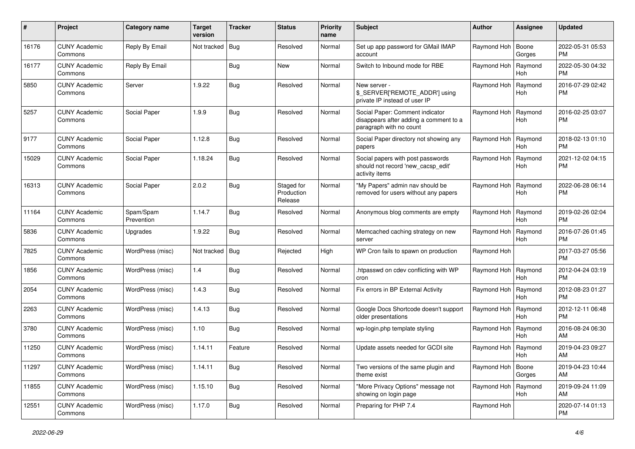| #     | Project                         | <b>Category name</b>    | <b>Target</b><br>version | <b>Tracker</b> | <b>Status</b>                       | <b>Priority</b><br>name | <b>Subject</b>                                                                                       | Author      | <b>Assignee</b>       | <b>Updated</b>                |
|-------|---------------------------------|-------------------------|--------------------------|----------------|-------------------------------------|-------------------------|------------------------------------------------------------------------------------------------------|-------------|-----------------------|-------------------------------|
| 16176 | <b>CUNY Academic</b><br>Commons | Reply By Email          | Not tracked              | Bug            | Resolved                            | Normal                  | Set up app password for GMail IMAP<br>account                                                        | Raymond Hoh | Boone<br>Gorges       | 2022-05-31 05:53<br>PM        |
| 16177 | <b>CUNY Academic</b><br>Commons | Reply By Email          |                          | <b>Bug</b>     | New                                 | Normal                  | Switch to Inbound mode for RBE                                                                       | Raymond Hoh | Raymond<br><b>Hoh</b> | 2022-05-30 04:32<br><b>PM</b> |
| 5850  | <b>CUNY Academic</b><br>Commons | Server                  | 1.9.22                   | Bug            | Resolved                            | Normal                  | New server -<br>\$_SERVER['REMOTE_ADDR'] using<br>private IP instead of user IP                      | Raymond Hoh | Raymond<br>Hoh        | 2016-07-29 02:42<br><b>PM</b> |
| 5257  | <b>CUNY Academic</b><br>Commons | Social Paper            | 1.9.9                    | Bug            | Resolved                            | Normal                  | Social Paper: Comment indicator<br>disappears after adding a comment to a<br>paragraph with no count | Raymond Hoh | Raymond<br>Hoh        | 2016-02-25 03:07<br><b>PM</b> |
| 9177  | <b>CUNY Academic</b><br>Commons | Social Paper            | 1.12.8                   | Bug            | Resolved                            | Normal                  | Social Paper directory not showing any<br>papers                                                     | Raymond Hoh | Raymond<br><b>Hoh</b> | 2018-02-13 01:10<br><b>PM</b> |
| 15029 | <b>CUNY Academic</b><br>Commons | Social Paper            | 1.18.24                  | Bug            | Resolved                            | Normal                  | Social papers with post passwords<br>should not record 'new_cacsp_edit'<br>activity items            | Raymond Hoh | Raymond<br>Hoh        | 2021-12-02 04:15<br><b>PM</b> |
| 16313 | <b>CUNY Academic</b><br>Commons | Social Paper            | 2.0.2                    | Bug            | Staged for<br>Production<br>Release | Normal                  | "My Papers" admin nav should be<br>removed for users without any papers                              | Raymond Hoh | Raymond<br>Hoh        | 2022-06-28 06:14<br>PM        |
| 11164 | <b>CUNY Academic</b><br>Commons | Spam/Spam<br>Prevention | 1.14.7                   | <b>Bug</b>     | Resolved                            | Normal                  | Anonymous blog comments are empty                                                                    | Raymond Hoh | Raymond<br>Hoh        | 2019-02-26 02:04<br><b>PM</b> |
| 5836  | <b>CUNY Academic</b><br>Commons | Upgrades                | 1.9.22                   | <b>Bug</b>     | Resolved                            | Normal                  | Memcached caching strategy on new<br>server                                                          | Raymond Hoh | Raymond<br>Hoh        | 2016-07-26 01:45<br><b>PM</b> |
| 7825  | <b>CUNY Academic</b><br>Commons | WordPress (misc)        | Not tracked              | Bug            | Rejected                            | High                    | WP Cron fails to spawn on production                                                                 | Raymond Hoh |                       | 2017-03-27 05:56<br><b>PM</b> |
| 1856  | <b>CUNY Academic</b><br>Commons | WordPress (misc)        | 1.4                      | Bug            | Resolved                            | Normal                  | .htpasswd on cdev conflicting with WP<br>cron                                                        | Raymond Hoh | Raymond<br><b>Hoh</b> | 2012-04-24 03:19<br><b>PM</b> |
| 2054  | <b>CUNY Academic</b><br>Commons | WordPress (misc)        | 1.4.3                    | Bug            | Resolved                            | Normal                  | Fix errors in BP External Activity                                                                   | Raymond Hoh | Raymond<br><b>Hoh</b> | 2012-08-23 01:27<br><b>PM</b> |
| 2263  | <b>CUNY Academic</b><br>Commons | WordPress (misc)        | 1.4.13                   | Bug            | Resolved                            | Normal                  | Google Docs Shortcode doesn't support<br>older presentations                                         | Raymond Hoh | Raymond<br><b>Hoh</b> | 2012-12-11 06:48<br><b>PM</b> |
| 3780  | <b>CUNY Academic</b><br>Commons | WordPress (misc)        | 1.10                     | Bug            | Resolved                            | Normal                  | wp-login.php template styling                                                                        | Raymond Hoh | Raymond<br><b>Hoh</b> | 2016-08-24 06:30<br>AM        |
| 11250 | <b>CUNY Academic</b><br>Commons | WordPress (misc)        | 1.14.11                  | Feature        | Resolved                            | Normal                  | Update assets needed for GCDI site                                                                   | Raymond Hoh | Raymond<br>Hoh        | 2019-04-23 09:27<br>AM        |
| 11297 | <b>CUNY Academic</b><br>Commons | WordPress (misc)        | 1.14.11                  | <b>Bug</b>     | Resolved                            | Normal                  | Two versions of the same plugin and<br>theme exist                                                   | Raymond Hoh | Boone<br>Gorges       | 2019-04-23 10:44<br>AM        |
| 11855 | <b>CUNY Academic</b><br>Commons | WordPress (misc)        | 1.15.10                  | Bug            | Resolved                            | Normal                  | "More Privacy Options" message not<br>showing on login page                                          | Raymond Hoh | Raymond<br>Hoh        | 2019-09-24 11:09<br>AM        |
| 12551 | <b>CUNY Academic</b><br>Commons | WordPress (misc)        | 1.17.0                   | <b>Bug</b>     | Resolved                            | Normal                  | Preparing for PHP 7.4                                                                                | Raymond Hoh |                       | 2020-07-14 01:13<br>PM        |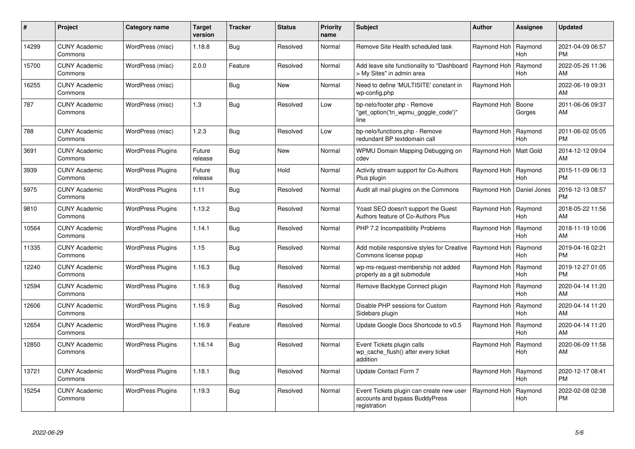| #     | Project                         | <b>Category name</b>     | <b>Target</b><br>version | <b>Tracker</b> | <b>Status</b> | <b>Priority</b><br>name | <b>Subject</b>                                                                             | <b>Author</b>           | <b>Assignee</b>       | <b>Updated</b>                |
|-------|---------------------------------|--------------------------|--------------------------|----------------|---------------|-------------------------|--------------------------------------------------------------------------------------------|-------------------------|-----------------------|-------------------------------|
| 14299 | <b>CUNY Academic</b><br>Commons | WordPress (misc)         | 1.18.8                   | Bug            | Resolved      | Normal                  | Remove Site Health scheduled task                                                          | Raymond Hoh             | Raymond<br><b>Hoh</b> | 2021-04-09 06:57<br><b>PM</b> |
| 15700 | <b>CUNY Academic</b><br>Commons | WordPress (misc)         | 2.0.0                    | Feature        | Resolved      | Normal                  | Add leave site functionality to "Dashboard<br>> My Sites" in admin area                    | Raymond Hoh             | Raymond<br><b>Hoh</b> | 2022-05-26 11:36<br>AM        |
| 16255 | <b>CUNY Academic</b><br>Commons | WordPress (misc)         |                          | <b>Bug</b>     | New           | Normal                  | Need to define 'MULTISITE' constant in<br>wp-config.php                                    | Raymond Hoh             |                       | 2022-06-19 09:31<br>AM        |
| 787   | <b>CUNY Academic</b><br>Commons | WordPress (misc)         | 1.3                      | <b>Bug</b>     | Resolved      | Low                     | bp-nelo/footer.php - Remove<br>"get_option('tn_wpmu_goggle_code')"<br>line                 | Raymond Hoh             | Boone<br>Gorges       | 2011-06-06 09:37<br>AM        |
| 788   | <b>CUNY Academic</b><br>Commons | WordPress (misc)         | 1.2.3                    | Bug            | Resolved      | Low                     | bp-nelo/functions.php - Remove<br>redundant BP textdomain call                             | Raymond Hoh             | Raymond<br><b>Hoh</b> | 2011-06-02 05:05<br><b>PM</b> |
| 3691  | <b>CUNY Academic</b><br>Commons | <b>WordPress Plugins</b> | Future<br>release        | <b>Bug</b>     | <b>New</b>    | Normal                  | WPMU Domain Mapping Debugging on<br>cdev                                                   | Raymond Hoh   Matt Gold |                       | 2014-12-12 09:04<br>AM        |
| 3939  | <b>CUNY Academic</b><br>Commons | <b>WordPress Plugins</b> | Future<br>release        | Bug            | Hold          | Normal                  | Activity stream support for Co-Authors<br>Plus plugin                                      | Raymond Hoh             | Raymond<br><b>Hoh</b> | 2015-11-09 06:13<br><b>PM</b> |
| 5975  | <b>CUNY Academic</b><br>Commons | <b>WordPress Plugins</b> | 1.11                     | <b>Bug</b>     | Resolved      | Normal                  | Audit all mail plugins on the Commons                                                      | Raymond Hoh             | Daniel Jones          | 2016-12-13 08:57<br>PM        |
| 9810  | <b>CUNY Academic</b><br>Commons | <b>WordPress Plugins</b> | 1.13.2                   | Bug            | Resolved      | Normal                  | Yoast SEO doesn't support the Guest<br>Authors feature of Co-Authors Plus                  | Raymond Hoh             | Raymond<br><b>Hoh</b> | 2018-05-22 11:56<br>AM        |
| 10564 | <b>CUNY Academic</b><br>Commons | <b>WordPress Plugins</b> | 1.14.1                   | Bug            | Resolved      | Normal                  | PHP 7.2 Incompatibility Problems                                                           | Raymond Hoh             | Raymond<br><b>Hoh</b> | 2018-11-19 10:06<br>AM        |
| 11335 | <b>CUNY Academic</b><br>Commons | <b>WordPress Plugins</b> | 1.15                     | <b>Bug</b>     | Resolved      | Normal                  | Add mobile responsive styles for Creative<br>Commons license popup                         | Raymond Hoh             | Raymond<br><b>Hoh</b> | 2019-04-16 02:21<br><b>PM</b> |
| 12240 | <b>CUNY Academic</b><br>Commons | <b>WordPress Plugins</b> | 1.16.3                   | <b>Bug</b>     | Resolved      | Normal                  | wp-ms-request-membership not added<br>properly as a git submodule                          | Raymond Hoh             | Raymond<br>Hoh        | 2019-12-27 01:05<br><b>PM</b> |
| 12594 | <b>CUNY Academic</b><br>Commons | <b>WordPress Plugins</b> | 1.16.9                   | <b>Bug</b>     | Resolved      | Normal                  | Remove Backtype Connect plugin                                                             | Raymond Hoh             | Raymond<br><b>Hoh</b> | 2020-04-14 11:20<br>AM        |
| 12606 | <b>CUNY Academic</b><br>Commons | <b>WordPress Plugins</b> | 1.16.9                   | Bug            | Resolved      | Normal                  | Disable PHP sessions for Custom<br>Sidebars plugin                                         | Raymond Hoh             | Raymond<br>Hoh        | 2020-04-14 11:20<br>AM        |
| 12654 | CUNY Academic<br>Commons        | <b>WordPress Plugins</b> | 1.16.9                   | Feature        | Resolved      | Normal                  | Update Google Docs Shortcode to v0.5                                                       | Raymond Hoh             | Raymond<br>Hoh        | 2020-04-14 11:20<br>AM        |
| 12850 | <b>CUNY Academic</b><br>Commons | <b>WordPress Plugins</b> | 1.16.14                  | <b>Bug</b>     | Resolved      | Normal                  | Event Tickets plugin calls<br>wp cache flush() after every ticket<br>addition              | Raymond Hoh             | Raymond<br>Hoh        | 2020-06-09 11:56<br>AM        |
| 13721 | <b>CUNY Academic</b><br>Commons | <b>WordPress Plugins</b> | 1.18.1                   | <b>Bug</b>     | Resolved      | Normal                  | Update Contact Form 7                                                                      | Raymond Hoh             | Raymond<br><b>Hoh</b> | 2020-12-17 08:41<br><b>PM</b> |
| 15254 | <b>CUNY Academic</b><br>Commons | <b>WordPress Plugins</b> | 1.19.3                   | <b>Bug</b>     | Resolved      | Normal                  | Event Tickets plugin can create new user<br>accounts and bypass BuddyPress<br>registration | Raymond Hoh             | Raymond<br><b>Hoh</b> | 2022-02-08 02:38<br><b>PM</b> |